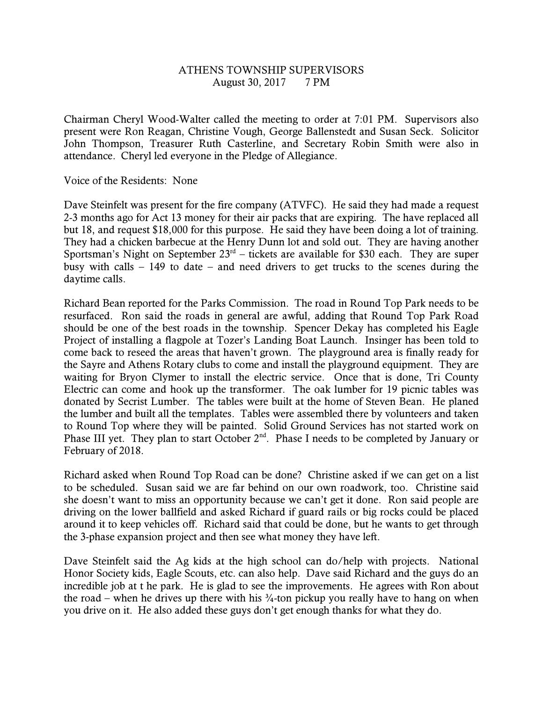## ATHENS TOWNSHIP SUPERVISORS August 30, 2017 7 PM

Chairman Cheryl Wood-Walter called the meeting to order at 7:01 PM. Supervisors also present were Ron Reagan, Christine Vough, George Ballenstedt and Susan Seck. Solicitor John Thompson, Treasurer Ruth Casterline, and Secretary Robin Smith were also in attendance. Cheryl led everyone in the Pledge of Allegiance.

Voice of the Residents: None

Dave Steinfelt was present for the fire company (ATVFC). He said they had made a request 2-3 months ago for Act 13 money for their air packs that are expiring. The have replaced all but 18, and request \$18,000 for this purpose. He said they have been doing a lot of training. They had a chicken barbecue at the Henry Dunn lot and sold out. They are having another Sportsman's Night on September  $23<sup>rd</sup>$  – tickets are available for \$30 each. They are super busy with calls  $-149$  to date – and need drivers to get trucks to the scenes during the daytime calls.

Richard Bean reported for the Parks Commission. The road in Round Top Park needs to be resurfaced. Ron said the roads in general are awful, adding that Round Top Park Road should be one of the best roads in the township. Spencer Dekay has completed his Eagle Project of installing a flagpole at Tozer's Landing Boat Launch. Insinger has been told to come back to reseed the areas that haven't grown. The playground area is finally ready for the Sayre and Athens Rotary clubs to come and install the playground equipment. They are waiting for Bryon Clymer to install the electric service. Once that is done, Tri County Electric can come and hook up the transformer. The oak lumber for 19 picnic tables was donated by Secrist Lumber. The tables were built at the home of Steven Bean. He planed the lumber and built all the templates. Tables were assembled there by volunteers and taken to Round Top where they will be painted. Solid Ground Services has not started work on Phase III yet. They plan to start October  $2^{nd}$ . Phase I needs to be completed by January or February of 2018.

Richard asked when Round Top Road can be done? Christine asked if we can get on a list to be scheduled. Susan said we are far behind on our own roadwork, too. Christine said she doesn't want to miss an opportunity because we can't get it done. Ron said people are driving on the lower ballfield and asked Richard if guard rails or big rocks could be placed around it to keep vehicles off. Richard said that could be done, but he wants to get through the 3-phase expansion project and then see what money they have left.

Dave Steinfelt said the Ag kids at the high school can do/help with projects. National Honor Society kids, Eagle Scouts, etc. can also help. Dave said Richard and the guys do an incredible job at t he park. He is glad to see the improvements. He agrees with Ron about the road – when he drives up there with his  $\frac{3}{4}$ -ton pickup you really have to hang on when you drive on it. He also added these guys don't get enough thanks for what they do.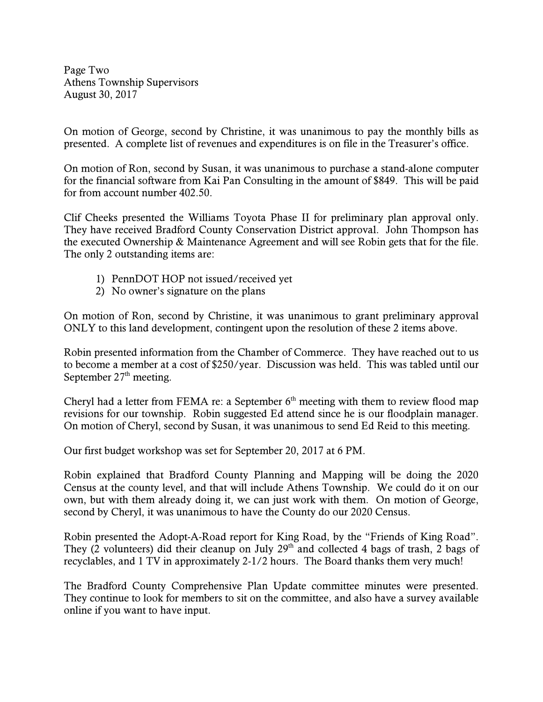Page Two Athens Township Supervisors August 30, 2017

On motion of George, second by Christine, it was unanimous to pay the monthly bills as presented. A complete list of revenues and expenditures is on file in the Treasurer's office.

On motion of Ron, second by Susan, it was unanimous to purchase a stand-alone computer for the financial software from Kai Pan Consulting in the amount of \$849. This will be paid for from account number 402.50.

Clif Cheeks presented the Williams Toyota Phase II for preliminary plan approval only. They have received Bradford County Conservation District approval. John Thompson has the executed Ownership & Maintenance Agreement and will see Robin gets that for the file. The only 2 outstanding items are:

- 1) PennDOT HOP not issued/received yet
- 2) No owner's signature on the plans

On motion of Ron, second by Christine, it was unanimous to grant preliminary approval ONLY to this land development, contingent upon the resolution of these 2 items above.

Robin presented information from the Chamber of Commerce. They have reached out to us to become a member at a cost of \$250/year. Discussion was held. This was tabled until our September  $27<sup>th</sup>$  meeting.

Cheryl had a letter from FEMA re: a September  $6<sup>th</sup>$  meeting with them to review flood map revisions for our township. Robin suggested Ed attend since he is our floodplain manager. On motion of Cheryl, second by Susan, it was unanimous to send Ed Reid to this meeting.

Our first budget workshop was set for September 20, 2017 at 6 PM.

Robin explained that Bradford County Planning and Mapping will be doing the 2020 Census at the county level, and that will include Athens Township. We could do it on our own, but with them already doing it, we can just work with them. On motion of George, second by Cheryl, it was unanimous to have the County do our 2020 Census.

Robin presented the Adopt-A-Road report for King Road, by the "Friends of King Road". They (2 volunteers) did their cleanup on July 29<sup>th</sup> and collected 4 bags of trash, 2 bags of recyclables, and 1 TV in approximately 2-1/2 hours. The Board thanks them very much!

The Bradford County Comprehensive Plan Update committee minutes were presented. They continue to look for members to sit on the committee, and also have a survey available online if you want to have input.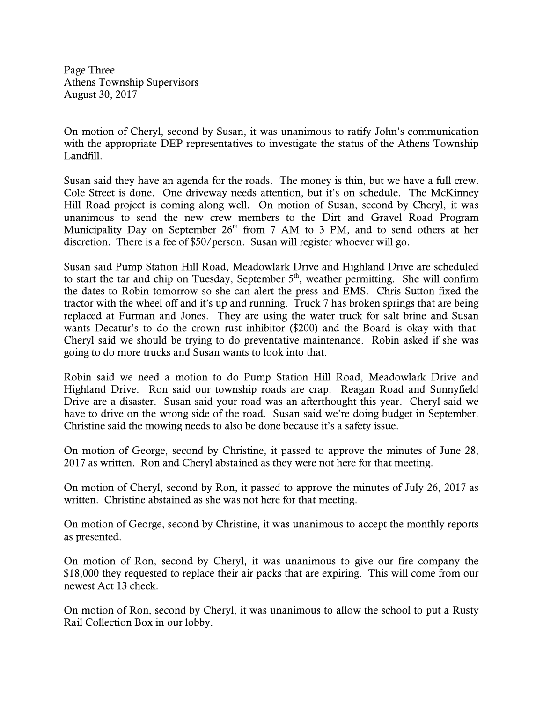Page Three Athens Township Supervisors August 30, 2017

On motion of Cheryl, second by Susan, it was unanimous to ratify John's communication with the appropriate DEP representatives to investigate the status of the Athens Township Landfill.

Susan said they have an agenda for the roads. The money is thin, but we have a full crew. Cole Street is done. One driveway needs attention, but it's on schedule. The McKinney Hill Road project is coming along well. On motion of Susan, second by Cheryl, it was unanimous to send the new crew members to the Dirt and Gravel Road Program Municipality Day on September  $26<sup>th</sup>$  from 7 AM to 3 PM, and to send others at her discretion. There is a fee of \$50/person. Susan will register whoever will go.

Susan said Pump Station Hill Road, Meadowlark Drive and Highland Drive are scheduled to start the tar and chip on Tuesday, September  $5<sup>th</sup>$ , weather permitting. She will confirm the dates to Robin tomorrow so she can alert the press and EMS. Chris Sutton fixed the tractor with the wheel off and it's up and running. Truck 7 has broken springs that are being replaced at Furman and Jones. They are using the water truck for salt brine and Susan wants Decatur's to do the crown rust inhibitor (\$200) and the Board is okay with that. Cheryl said we should be trying to do preventative maintenance. Robin asked if she was going to do more trucks and Susan wants to look into that.

Robin said we need a motion to do Pump Station Hill Road, Meadowlark Drive and Highland Drive. Ron said our township roads are crap. Reagan Road and Sunnyfield Drive are a disaster. Susan said your road was an afterthought this year. Cheryl said we have to drive on the wrong side of the road. Susan said we're doing budget in September. Christine said the mowing needs to also be done because it's a safety issue.

On motion of George, second by Christine, it passed to approve the minutes of June 28, 2017 as written. Ron and Cheryl abstained as they were not here for that meeting.

On motion of Cheryl, second by Ron, it passed to approve the minutes of July 26, 2017 as written. Christine abstained as she was not here for that meeting.

On motion of George, second by Christine, it was unanimous to accept the monthly reports as presented.

On motion of Ron, second by Cheryl, it was unanimous to give our fire company the \$18,000 they requested to replace their air packs that are expiring. This will come from our newest Act 13 check.

On motion of Ron, second by Cheryl, it was unanimous to allow the school to put a Rusty Rail Collection Box in our lobby.